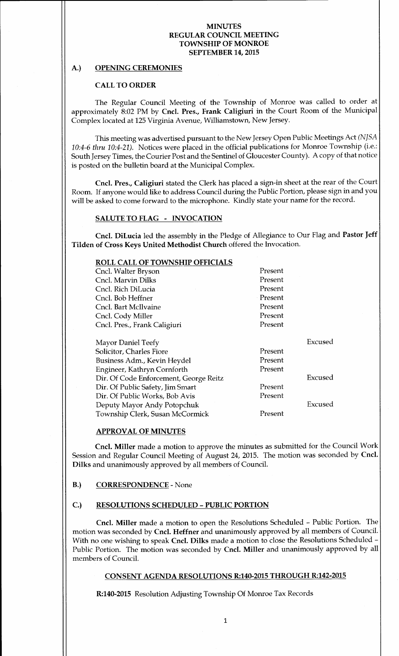## A.) OPENING CEREMONIES

## CALL TO ORDER

The Regular Council Meeting of the Township of Monroe was called to order at approximately 8:<sup>02</sup> PM by Cncl. Pres., Frank Caligiuri in the Court Room of the Municipal Complex located at 125 Virginia Avenue, Williamstown, New Jersey.

This meeting was advertised pursuant to the New Jersey Open Public Meetings Act (NJSA 10:4-6 thru 10:4-21). Notices were placed in the official publications for Monroe Township (i.e.: South Jersey Times, the Courier Post and the Sentinel of Gloucester County). A copy of that notice is posted on the bulletin board at the Municipal Complex.

Cncl. Pres., Caligiuri stated the Clerk has placed a sign-in sheet at the rear of the Court Room. If anyone would like to address Council during the Public Portion, please sign in and you will be asked to come forward to the microphone. Kindly state your name for the record.

## SALUTE TO FLAG - INVOCATION

Cncl. DiLucia led the assembly in the Pledge of Allegiance to Our Flag and Pastor Jeff Tilden of Cross Keys United Methodist Church offered the Invocation.

| <b>ROLL CALL OF TOWNSHIP OFFICIALS</b> |           |         |
|----------------------------------------|-----------|---------|
| Cncl. Walter Bryson                    | Present   |         |
| Cncl. Marvin Dilks                     | Present   |         |
| Cncl. Rich DiLucia                     | Present   |         |
| Cncl. Bob Heffner                      | ∙ Present |         |
| Cncl. Bart McIlvaine                   | Present   |         |
| Cncl. Cody Miller                      | Present   |         |
| Cncl. Pres., Frank Caligiuri           | Present   |         |
|                                        |           |         |
| <b>Mayor Daniel Teefy</b>              |           | Excused |
| Solicitor, Charles Fiore               | Present   |         |
| Business Adm., Kevin Heydel            | Present   |         |
| Engineer, Kathryn Cornforth            | Present   |         |
| Dir. Of Code Enforcement, George Reitz |           | Excused |
| Dir. Of Public Safety, Jim Smart       | Present   |         |
| Dir. Of Public Works, Bob Avis         | Present   |         |
| Deputy Mayor Andy Potopchuk            |           | Excused |
| Township Clerk, Susan McCormick        | Present   |         |

### APPROVAL OF MINUTES

Cncl. Miller made <sup>a</sup> motion to approve the minutes as submitted for the Council Work Session and Regular Council Meeting of August 24, 2015. The motion was seconded by Cncl. Dilks and unanimously approved by all members of Council.

## B.) CORRESPONDENCE - None

## C.) RESOLUTIONS SCHEDULED- PUBLIC PORTION

Cncl. Miller made <sup>a</sup> motion to open the Resolutions Scheduled - Public Portion. The motion was seconded by Cncl. Heffner and unanimously approved by all members of Council. With no one wishing to speak Cncl. Dilks made a motion to close the Resolutions Scheduled -Public Portion. The motion was seconded by Cncl. Miller and unanimously approved by all members of Council.

## CONSENT AGENDA RESOLUTIONS R:140-2015 THROUGH R:142-2015

R:140-2015 Resolution Adjusting Township Of Monroe Tax Records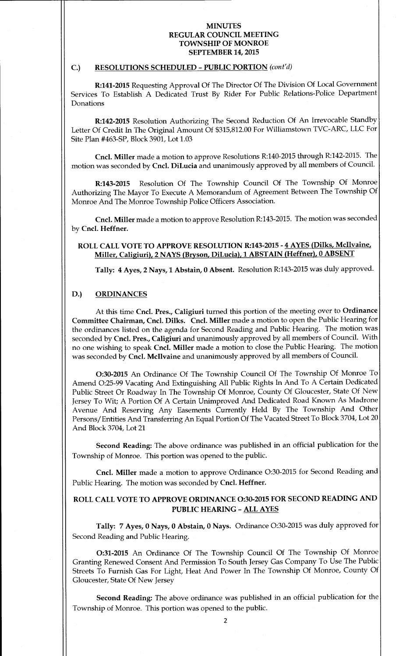#### C.) RESOLUTIONS SCHEDULED - PUBLIC PORTION (cont'd)

R:141-2015 Requesting Approval Of The Director Of The Division Of Local Government Services To Establish A Dedicated Trust By Rider For Public Relations-Police Department Donations

R:142-2015 Resolution Authorizing The Second Reduction Of An Irrevocable Standby Letter Of Credit In The Original Amount Of \$315,812.00 For Williamstown TVC-ARC, LLC For Site Plan #463-SP, Block 3901, Lot 1.03

Cncl. Miller made a motion to approve Resolutions R:140-2015 through R:142-2015. The motion was seconded by Cncl. DiLucia and unanimously approved by all members of Council.

R:143-2015 Resolution Of The Township Council Of The Township Of Monroe Authorizing The Mayor To Execute A Memorandum of Agreement Between The Township Of Monroe And The Monroe Township Police Officers Association.

Cncl. Miller made <sup>a</sup> motion to approve Resolution R:143- 2015. The motion was seconded by Cncl. Heffner.

## ROLL CALL VOTE TO APPROVE RESOLUTION R:143-2015 - 4 AYES (Dilks, McIlvaine, Miller, Caligiuri), <sup>2</sup> NAYS (Bryson, DiLucia), <sup>1</sup> ABSTAIN (Heffner), <sup>0</sup> ABSENT

Tally: 4 Ayes, 2 Nays, 1 Abstain, 0 Absent. Resolution R:143-2015 was duly approved.

## D.) ORDINANCES

At this time Cncl. Pres., Caligiuri turned this portion of the meeting over to Ordinance Committee Chairman, Cncl. Dilks. Cncl. Miller made <sup>a</sup> motion to open the Public Hearing for the ordinances listed on the agenda for Second Reading and Public Hearing. The motion was seconded by Cncl. Pres., Caligiuri and unanimously approved by all members of Council. With no one wishing to speak Cncl. Miller made a motion to close the Public Hearing. The motion was seconded by Cncl. Mcllvaine and unanimously approved by all members of Council.

0:30-2015 An Ordinance Of The Township Council Of The Township Of Monroe To Amend O:25-99 Vacating And Extinguishing All Public Rights In And To A Certain Dedicated Public Street Or Roadway In The Township Of Monroe, County Of Gloucester, State Of New Jersey To Wit; A Portion Of A Certain Unimproved And Dedicated Road Known As Madrone Avenue And Reserving Any Easements Currently Held By The Township And Other Persons/ Entities And Transferring An Equal Portion Of The Vacated Street To Block 3704, Lot 20 And Block 3704, Lot 21

Second Reading: The above ordinance was published in an official publication for the Township of Monroe. This portion was opened to the public.

Cncl. Miller made a motion to approve Ordinance O:30-2015 for Second Reading and Public Hearing. The motion was seconded by Cncl. Heffner.

# ROLL CALL VOTE TO APPROVE ORDINANCE 0:30-2015 FOR SECOND READING AND PUBLIC HEARING - ALL AYES

Tally: 7 Ayes, 0 Nays, 0 Abstain, 0 Nays. Ordinance 0:30-2015 was duly approved for Second Reading and Public Hearing.

0:31-2015 An Ordinance Of The Township Council Of The Township Of Monroe Granting Renewed Consent And Permission To South Jersey Gas Company To Use The Public Streets To Furnish Gas For Light, Heat And Power In The Township Of Monroe, County Of Gloucester, State Of New Jersey

Second Reading: The above ordinance was published in an official publication for the Township of Monroe. This portion was opened to the public.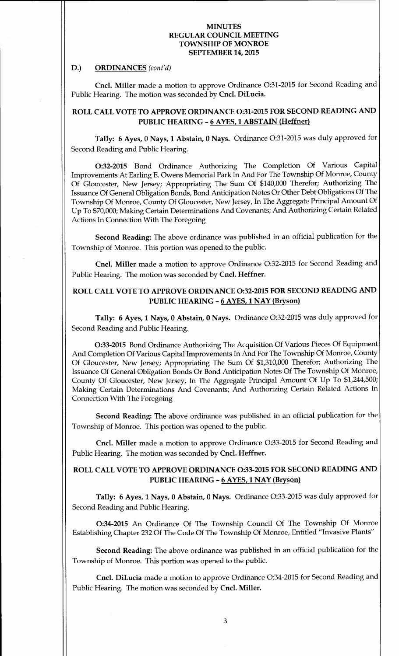### D.) ORDINANCES (cont'd)

Cncl. Miller made a motion to approve Ordinance O:31-2015 for Second Reading and Public Hearing. The motion was seconded by Cncl. DiLucia.

# ROLL CALL VOTE TO APPROVE ORDINANCE 0:31-2015 FOR SECOND READING AND PUBLIC HEARING - 6 AYES, 1 ABSTAIN (Heffner)

Tally: 6 Ayes, 0 Nays, 1 Abstain, 0 Nays. Ordinance O:31-2015 was duly approved for Second Reading and Public Hearing.

0:32-2015 Bond Ordinance Authorizing The Completion Of Various Capital Improvements At Earling E. Owens Memorial Park In And For The Township Of Monroe, County Of Gloucester, New Jersey; Appropriating The Sum Of \$140,000 Therefor; Authorizing The Issuance Of General Obligation Bonds, Bond Anticipation Notes Or Other Debt Obligations Of The Township Of Monroe, County Of Gloucester, New Jersey, In The Aggregate Principal Amount Of Up To\$ 70,000; Making Certain Determinations And Covenants; And Authorizing Certain Related Actions In Connection With The Foregoing

Second Reading: The above ordinance was published in an official publication for the Township of Monroe. This portion was opened to the public.

Cncl. Miller made <sup>a</sup> motion to approve Ordinance 0:32-2015 for Second Reading and Public Hearing. The motion was seconded by Cncl. Heffner.

# ROLL CALL VOTE TO APPROVE ORDINANCE 0:32-2015 FOR SECOND READING AND PUBLIC HEARING - 6 AYES, 1 NAY (Bryson)

Tally: 6 Ayes, 1 Nays, 0 Abstain, 0 Nays. Ordinance 0:32-2015 was duly approved for Second Reading and Public Hearing.

0:33-2015 Bond Ordinance Authorizing The Acquisition Of Various Pieces Of Equipment And Completion Of Various Capital Improvements In And For The Township Of Monroe, County Of Gloucester, New Jersey; Appropriating The Sum Of \$1, 310,000 Therefor; Authorizing The Issuance Of General Obligation Bonds Or Bond Anticipation Notes Of The Township Of Monroe, County Of Gloucester, New Jersey, In The Aggregate Principal Amount Of Up To \$1,244,500; Making Certain Determinations And Covenants; And Authorizing Certain Related Actions In Connection With The Foregoing

Second Reading: The above ordinance was published in an official publication for the Township of Monroe. This portion was opened to the public.

Cncl. Miller made <sup>a</sup> motion to approve Ordinance 0:33- <sup>2015</sup> for Second Reading and Public Hearing. The motion was seconded by Cncl. Heffner.

# ROLL CALL VOTE TO APPROVE ORDINANCE 0:33-2015 FOR SECOND READING AND PUBLIC HEARING - 6 AYES, 1 NAY (Bryson)

Tally: 6 Ayes, 1 Nays, 0 Abstain, 0 Nays. Ordinance 0:33- <sup>2015</sup> was duly approved for Second Reading and Public Hearing.

0:34-2015 An Ordinance Of The Township Council Of The Township Of Monroe Establishing Chapter 232 Of The Code Of The Township Of Monroe, Entitled" Invasive Plants"

Second Reading: The above ordinance was published in an official publication for the Township of Monroe. This portion was opened to the public.

Cncl. DiLucia made <sup>a</sup> motion to approve Ordinance 0:34- <sup>2015</sup> for Second Reading and Public Hearing. The motion was seconded by Cncl. Miller.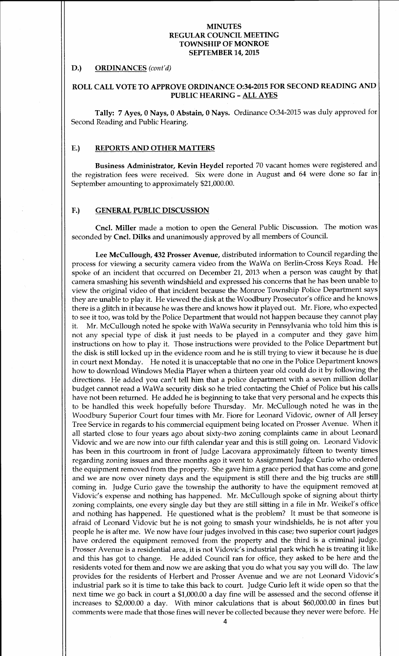### D.) ORDINANCES (cont'd)

## ROLL CALL VOTE TO APPROVE ORDINANCE 0:34-2015 FOR SECOND READING AND PUBLIC HEARING- ALL AYES

Tally: 7 Ayes, 0 Nays, 0 Abstain, 0 Nays. Ordinance 0:34- <sup>2015</sup> was duly approved for Second Reading and Public Hearing.

## E.) REPORTS AND OTHER MATTERS

Business Administrator, Kevin Heydel reported 70 vacant homes were registered and the registration fees were received. Six were done in August and 64 were done so far in September amounting to approximately \$21,000.00.

### F.) GENERAL PUBLIC DISCUSSION

Cncl. Miller made <sup>a</sup> motion to open the General Public Discussion. The motion was seconded by Cncl. Dilks and unanimously approved by all members of Council.

Lee McCullough, 432 Prosser Avenue, distributed information to Council regarding the process for viewing <sup>a</sup> security camera video from the WaWa on Berlin-Cross Keys Road. He spoke of an incident that occurred on December 21, 2013 when a person was caught by that camera smashing his seventh windshield and expressed his concerns that he has been unable to view the original video of that incident because the Monroe Township Police Department says they are unable to play it. He viewed the disk at the Woodbury Prosecutor's office and he knows there is <sup>a</sup> glitch in it because he was there and knows how it played out. Mr. Fiore, who expected to see it too, was told by the Police Department that would not happen because they cannot play<br>it. Mr. McCullough noted he spoke with WaWa security in Pennsylvania who told him this is Mr. McCullough noted he spoke with WaWa security in Pennsylvania who told him this is not any special type of disk it just needs to be played in <sup>a</sup> computer and they gave him instructions on how to play it. Those instructions were provided to the Police Department but the disk is still locked up in the evidence room and he is still trying to view it because he is due in court next Monday. He noted it is unacceptable that no one in the Police Department knows how to download Windows Media Player when a thirteen year old could do it by following the directions. He added you can't tell him that a police department with a seven million dollar budget cannot read a WaWa security disk so he tried contacting the Chief of Police but his calls have not been returned. He added he is beginning to take that very personal and he expects this to be handled this week hopefully before Thursday. Mr. McCullough noted he was in the Woodbury Superior Court four times with Mr. Fiore for Leonard Vidovic, owner of All Jersey Tree Service in regards to his commercial equipment being located on Prosser Avenue. When it all started close to four years ago about sixty-two zoning complaints came in about Leonard Vidovic and we are now into our fifth calendar year and this is still going on. Leonard Vidovic has been in this courtroom in front of Judge Lacovara approximately fifteen to twenty times regarding zoning issues and three months ago it went to Assignment Judge Curio who ordered the equipment removed from the property. She gave him a grace period that has come and gone and we are now over ninety days and the equipment is still there and the big trucks are still coming in. Judge Curio gave the township the authority to have the equipment removed at Vidovic's expense and nothing has happened. Mr. McCullough spoke of signing about thirty zoning complaints, one every single day but they are still sitting in a file in Mr. Weikel's office and nothing has happened. He questioned what is the problem? It must be that someone is afraid of Leonard Vidovic but he is not going to smash your windshields, he is not after you people he is after me. We now have four judges involved in this case; two superior court judges have ordered the equipment removed from the property and the third is a criminal judge. Prosser Avenue is a residential area, it is not Vidovic's industrial park which he is treating it like and this has got to change. He added Council ran for office, they asked to be here and the residents voted for them and now we are asking that you do what you say you will do. The law provides for the residents of Herbert and Prosser Avenue and we are not Leonard Vidovic's industrial park so it is time to take this back to court. Judge Curio left it wide open so that the next time we go back in court a \$1,000.00 a day fine will be assessed and the second offense it increases to \$2,000.00 a day. With minor calculations that is about \$60,000.00 in fines but comments were made that those fines will never be collected because they never were before. He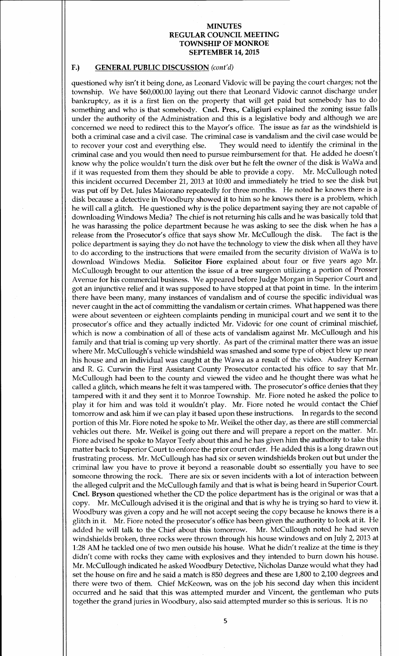# F.) GENERAL PUBLIC DISCUSSION (cont'd)

questioned why isn't it being done, as Leonard Vidovic will be paying the court charges; not the township. We have \$60,000.00 laying out there that Leonard Vidovic cannot discharge under bankruptcy, as it is <sup>a</sup> first lien on the property that will get paid but somebody has to do something and who is that somebody. Cncl. Pres., Caligiuri explained the zoning issue falls under the authority of the Administration and this is a legislative body and although we are concerned we need to redirect this to the Mayor's office. The issue as far as the windshield is both a criminal case and a civil case. The criminal case is vandalism and the civil case would be to recover your cost and everything else. They would need to identify the criminal in the criminal case and you would then need to pursue reimbursement for that. He added he doesn' t know why the police wouldn't turn the disk over but he felt the owner of the disk is WaWa and if it was requested from them they should be able to provide a copy. Mr. McCullough noted this incident occurred December 21, 2013 at 10:00 and immediately he tried to see the disk but was put off by Det. Jules Maiorano repeatedly for three months. He noted he knows there is <sup>a</sup> disk because <sup>a</sup> detective in Woodbury showed it to him so he knows there is <sup>a</sup> problem, which he will call <sup>a</sup> glitch. He questioned why is the police department saying they are not capable of downloading Windows Media? The chief is not returning his calls and he was basically told that he was harassing the police department because he was asking to see the disk when he has a<br>release from the Prosecutor's office that says show Mr. McCullough the disk. The fact is the release from the Prosecutor's office that says show Mr. McCullough the disk. police department is saying they do not have the technology to view the disk when all they have to do according to the instructions that were emailed from the security division of WaWa is to download Windows Media. Solicitor Fiore explained about four or five years ago Mr. McCullough brought to our attention the issue of a tree surgeon utilizing a portion of Prosser Avenue for his commercial business. We appeared before Judge Morgan in Superior Court and got an injunctive relief and it was supposed to have stopped at that point in time. In the interim there have been many, many instances of vandalism and of course the specific individual was never caught in the act of committing the vandalism or certain crimes. What happened was there were about seventeen or eighteen complaints pending in municipal court and we sent it to the prosecutor's office and they actually indicted Mr. Vidovic for one count of criminal mischief, which is now a combination of all of these acts of vandalism against Mr. McCullough and his family and that trial is coming up very shortly. As part of the criminal matter there was an issue where Mr. McCullough's vehicle windshield was smashed and some type of object blew up near his house and an individual was caught at the Wawa as <sup>a</sup> result of the video. Audrey Kernan and R. G. Curwin the First Assistant County Prosecutor contacted his office to say that Mr. McCullough had been to the county and viewed the video and he thought there was what he called a glitch, which means he felt it was tampered with. The prosecutor's office denies that they tampered with it and they sent it to Monroe Township. Mr. Fiore noted he asked the police to play it for him and was told it wouldn't play. Mr. Fiore noted he would contact the Chief tomorrow and ask him if we can play it based upon these instructions. In regards to the second portion of this Mr. Fiore noted he spoke to Mr. Weikel the other day, as there are still commercial vehicles out there. Mr. Weikel is going out there and will prepare <sup>a</sup> report on the matter. Mr. Fiore advised he spoke to Mayor Teefy about this and he has given him the authority to take this matter back to Superior Court to enforce the prior court order. He added this is a long drawn out frustrating process. Mr. McCullough has had six or seven windshields broken out but under the criminal law you have to prove it beyond <sup>a</sup> reasonable doubt so essentially you have to see someone throwing the rock. There are six or seven incidents with <sup>a</sup> lot of interaction between the alleged culprit and the McCullough family and that is what is being heard in Superior Court. Cncl. Bryson questioned whether the CD the police department has is the original or was that <sup>a</sup> copy. Mr. McCullough advised it is the original and that is why he is trying so hard to view it. Woodbury was given <sup>a</sup> copy and he will not accept seeing the copy because he knows there is <sup>a</sup> glitch in it. Mr. Fiore noted the prosecutor's office has been given the authority to look at it. He added he will talk to the Chief about this tomorrow. Mr. McCullough noted he had seven added he will talk to the Chief about this tomorrow. windshields broken, three rocks were thrown through his house windows and on July 2, 2013 at 1:28 AM he tackled one of two men outside his house. What he didn't realize at the time is they didn't come with rocks they came with explosives and they intended to burn down his house. Mr. McCullough indicated he asked Woodbury Detective, Nicholas Danze would what they had set the house on fire and he said a match is 850 degrees and these are 1, 800 to 2,100 degrees and there were two of them. Chief McKeown, was on the job his second day when this incident occurred and he said that this was attempted murder and Vincent, the gentleman who puts together the grand juries in Woodbury, also said attempted murder so this is serious. It is no